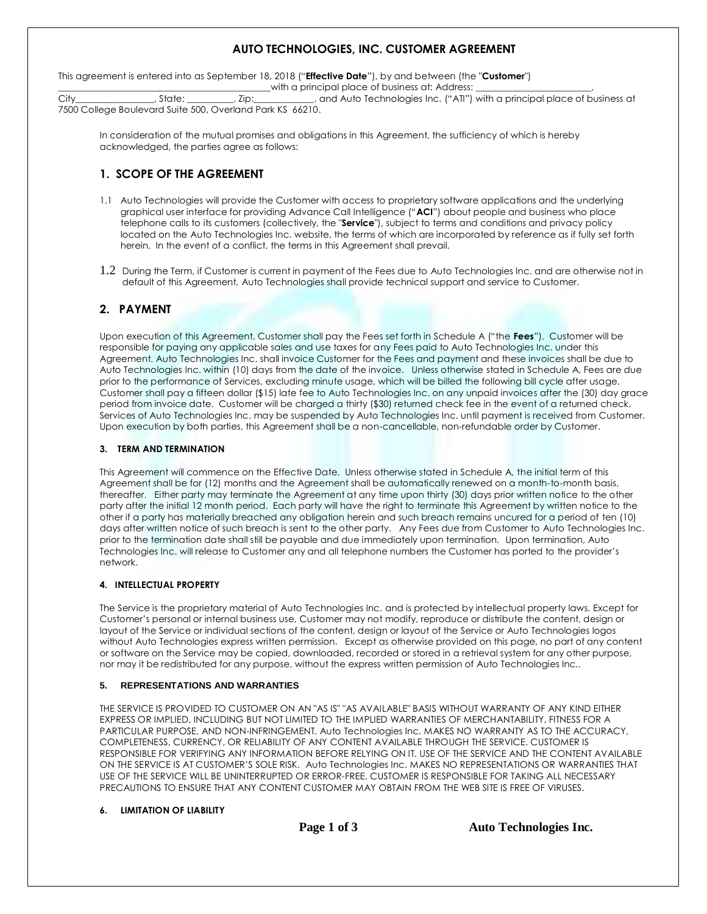# **AUTO TECHNOLOGIES, INC. CUSTOMER AGREEMENT**

This agreement is entered into as September 18, 2018 ("**Effective Date**"), by and between (the "**Customer**") \_\_\_\_\_\_\_\_\_\_with a principal place of business at: Address: \_<br>\_, Zip:\_\_\_\_\_\_\_\_\_\_\_\_\_\_, and Auto Technologies Inc. ("ATI")

City\_\_\_\_\_\_\_\_\_\_\_\_\_\_\_\_\_, State: \_\_\_\_\_\_\_\_\_\_, Zip:\_\_\_\_\_\_\_\_\_\_\_\_\_, and Auto Technologies Inc. ("ATI") with a principal place of business at 7500 College Boulevard Suite 500, Overland Park KS 66210.

In consideration of the mutual promises and obligations in this Agreement, the sufficiency of which is hereby acknowledged, the parties agree as follows:

# **1. SCOPE OF THE AGREEMENT**

- 1.1 Auto Technologies will provide the Customer with access to proprietary software applications and the underlying graphical user interface for providing Advance Call Intelligence ("**ACI**") about people and business who place telephone calls to its customers (collectively, the "**Service**"), subject to terms and conditions and privacy policy located on the Auto Technologies Inc. website, the terms of which are incorporated by reference as if fully set forth herein. In the event of a conflict, the terms in this Agreement shall prevail.
- 1.2 During the Term, if Customer is current in payment of the Fees due to Auto Technologies Inc. and are otherwise not in default of this Agreement, Auto Technologies shall provide technical support and service to Customer.

## **2. PAYMENT**

Upon execution of this Agreement, Customer shall pay the Fees set forth in Schedule A ("the **Fees**"). Customer will be responsible for paying any applicable sales and use taxes for any Fees paid to Auto Technologies Inc. under this Agreement. Auto Technologies Inc. shall invoice Customer for the Fees and payment and these invoices shall be due to Auto Technologies Inc. within (10) days from the date of the invoice. Unless otherwise stated in Schedule A, Fees are due prior to the performance of Services, excluding minute usage, which will be billed the following bill cycle after usage. Customer shall pay a fifteen dollar (\$15) late fee to Auto Technologies Inc. on any unpaid invoices after the (30) day grace period from invoice date. Customer will be charged a thirty (\$30) returned check fee in the event of a returned check. Services of Auto Technologies Inc. may be suspended by Auto Technologies Inc. until payment is received from Customer. Upon execution by both parties, this Agreement shall be a non-cancellable, non-refundable order by Customer.

## **3. TERM AND TERMINATION**

This Agreement will commence on the Effective Date. Unless otherwise stated in Schedule A, the initial term of this Agreement shall be for (12) months and the Agreement shall be automatically renewed on a month-to-month basis, thereafter. Either party may terminate the Agreement at any time upon thirty (30) days prior written notice to the other party after the initial 12 month period. Each party will have the right to terminate this Agreement by written notice to the other if a party has materially breached any obligation herein and such breach remains uncured for a period of ten (10) days after written notice of such breach is sent to the other party. Any Fees due from Customer to Auto Technologies Inc. prior to the termination date shall still be payable and due immediately upon termination. Upon termination, Auto Technologies Inc. will release to Customer any and all telephone numbers the Customer has ported to the provider's network.

## **4. INTELLECTUAL PROPERTY**

The Service is the proprietary material of Auto Technologies Inc. and is protected by intellectual property laws. Except for Customer's personal or internal business use, Customer may not modify, reproduce or distribute the content, design or layout of the Service or individual sections of the content, design or layout of the Service or Auto Technologies logos without Auto Technologies express written permission. Except as otherwise provided on this page, no part of any content or software on the Service may be copied, downloaded, recorded or stored in a retrieval system for any other purpose, nor may it be redistributed for any purpose, without the express written permission of Auto Technologies Inc..

## **5. REPRESENTATIONS AND WARRANTIES**

THE SERVICE IS PROVIDED TO CUSTOMER ON AN "AS IS" "AS AVAILABLE" BASIS WITHOUT WARRANTY OF ANY KIND EITHER EXPRESS OR IMPLIED, INCLUDING BUT NOT LIMITED TO THE IMPLIED WARRANTIES OF MERCHANTABILITY, FITNESS FOR A PARTICULAR PURPOSE, AND NON-INFRINGEMENT. Auto Technologies Inc. MAKES NO WARRANTY AS TO THE ACCURACY, COMPLETENESS, CURRENCY, OR RELIABILITY OF ANY CONTENT AVAILABLE THROUGH THE SERVICE. CUSTOMER IS RESPONSIBLE FOR VERIFYING ANY INFORMATION BEFORE RELYING ON IT. USE OF THE SERVICE AND THE CONTENT AVAILABLE ON THE SERVICE IS AT CUSTOMER'S SOLE RISK. Auto Technologies Inc. MAKES NO REPRESENTATIONS OR WARRANTIES THAT USE OF THE SERVICE WILL BE UNINTERRUPTED OR ERROR-FREE. CUSTOMER IS RESPONSIBLE FOR TAKING ALL NECESSARY PRECAUTIONS TO ENSURE THAT ANY CONTENT CUSTOMER MAY OBTAIN FROM THE WEB SITE IS FREE OF VIRUSES.

## **6. LIMITATION OF LIABILITY**

**Page 1 of 3 Auto Technologies Inc.**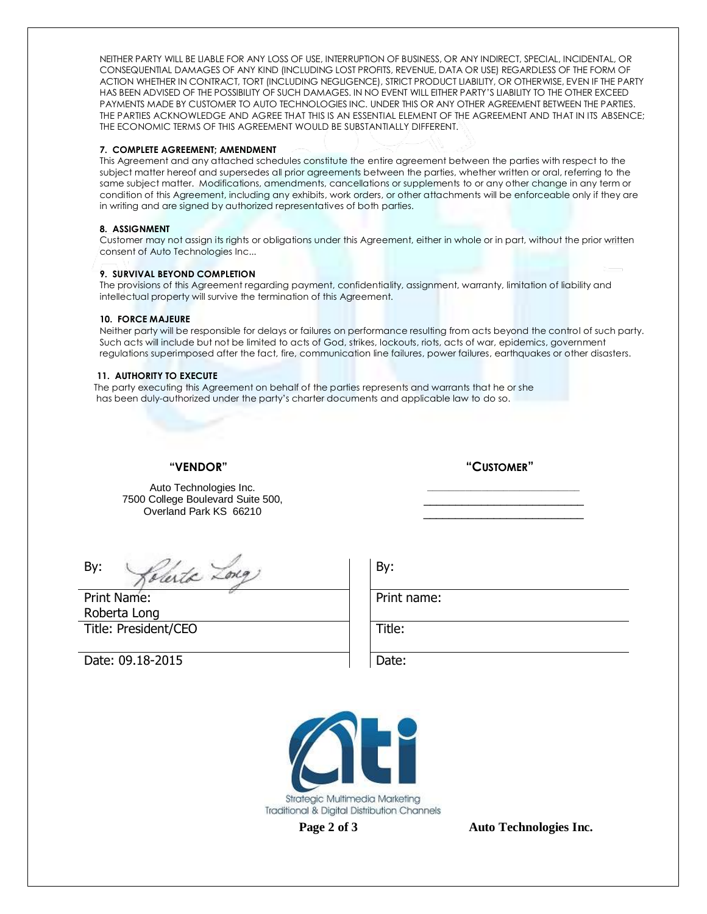NEITHER PARTY WILL BE LIABLE FOR ANY LOSS OF USE, INTERRUPTION OF BUSINESS, OR ANY INDIRECT, SPECIAL, INCIDENTAL, OR CONSEQUENTIAL DAMAGES OF ANY KIND (INCLUDING LOST PROFITS, REVENUE, DATA OR USE) REGARDLESS OF THE FORM OF ACTION WHETHER IN CONTRACT, TORT (INCLUDING NEGLIGENCE), STRICT PRODUCT LIABILITY, OR OTHERWISE, EVEN IF THE PARTY HAS BEEN ADVISED OF THE POSSIBILITY OF SUCH DAMAGES. IN NO EVENT WILL EITHER PARTY'S LIABILITY TO THE OTHER EXCEED PAYMENTS MADE BY CUSTOMER TO AUTO TECHNOLOGIES INC. UNDER THIS OR ANY OTHER AGREEMENT BETWEEN THE PARTIES. THE PARTIES ACKNOWLEDGE AND AGREE THAT THIS IS AN ESSENTIAL ELEMENT OF THE AGREEMENT AND THAT IN ITS ABSENCE; THE ECONOMIC TERMS OF THIS AGREEMENT WOULD BE SUBSTANTIALLY DIFFERENT.

#### **7. COMPLETE AGREEMENT; AMENDMENT**

This Agreement and any attached schedules constitute the entire agreement between the parties with respect to the subject matter hereof and supersedes all prior agreements between the parties, whether written or oral, referring to the same subject matter. Modifications, amendments, cancellations or supplements to or any other change in any term or condition of this Agreement, including any exhibits, work orders, or other attachments will be enforceable only if they are in writing and are signed by authorized representatives of both parties.

#### **8. ASSIGNMENT**

Customer may not assign its rights or obligations under this Agreement, either in whole or in part, without the prior written consent of Auto Technologies Inc...

#### **9. SURVIVAL BEYOND COMPLETION**

The provisions of this Agreement regarding payment, confidentiality, assignment, warranty, limitation of liability and intellectual property will survive the termination of this Agreement.

#### **10. FORCE MAJEURE**

Neither party will be responsible for delays or failures on performance resulting from acts beyond the control of such party. Such acts will include but not be limited to acts of God, strikes, lockouts, riots, acts of war, epidemics, government regulations superimposed after the fact, fire, communication line failures, power failures, earthquakes or other disasters.

#### **11. AUTHORITY TO EXECUTE**

 The party executing this Agreement on behalf of the parties represents and warrants that he or she has been duly-authorized under the party's charter documents and applicable law to do so.

 **"VENDOR" "CUSTOMER"**

Auto Technologies Inc. 7500 College Boulevard Suite 500, Overland Park KS 66210

 $By:$   $\sqrt{check}$   $\angle$   $\frac{1}{1}$  By:

Print Name: Roberta Long Title: President/CEO Title:

Date: 09.18-2015 **Date: Date:** 

Print name:



**Page 2 of 3 Auto Technologies Inc.**

**\_\_\_\_\_\_\_\_\_\_\_\_\_\_\_\_\_\_\_\_\_\_\_\_\_\_\_\_** \_\_\_\_\_\_\_\_\_\_\_\_\_\_\_\_\_\_\_\_\_\_\_\_\_ \_\_\_\_\_\_\_\_\_\_\_\_\_\_\_\_\_\_\_\_\_\_\_\_\_